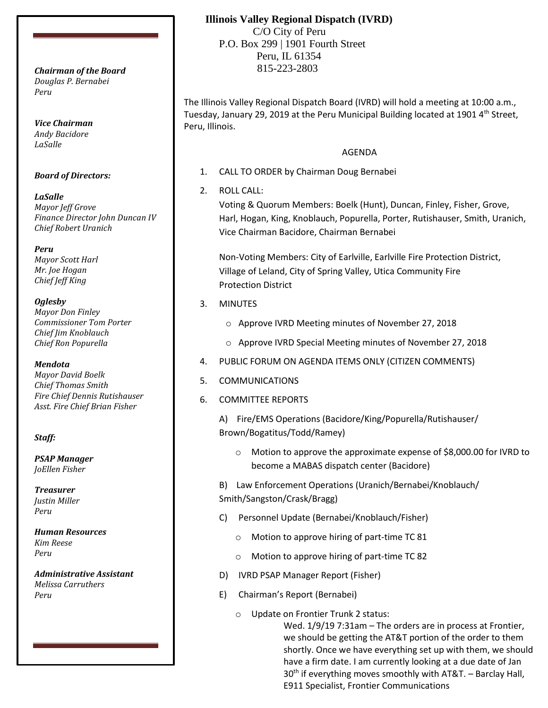*Douglas P. Bernabei Peru*

*Vice Chairman Andy Bacidore LaSalle*

### *Board of Directors:*

*LaSalle Mayor Jeff Grove Finance Director John Duncan IV Chief Robert Uranich*

*Peru Mayor Scott Harl Mr. Joe Hogan Chief Jeff King*

### *Oglesby*

*Mayor Don Finley Commissioner Tom Porter Chief Jim Knoblauch Chief Ron Popurella*

### *Mendota*

*Mayor David Boelk Chief Thomas Smith Fire Chief Dennis Rutishauser Asst. Fire Chief Brian Fisher*

### *Staff:*

*PSAP Manager JoEllen Fisher*

*Treasurer Justin Miller Peru*

*Human Resources Kim Reese Peru*

*Administrative Assistant Melissa Carruthers Peru*

# **Illinois Valley Regional Dispatch (IVRD)**

 C/O City of Peru P.O. Box 299 | 1901 Fourth Street Peru, IL 61354 815-223-2803 *Chairman of the Board*

> The Illinois Valley Regional Dispatch Board (IVRD) will hold a meeting at 10:00 a.m., Tuesday, January 29, 2019 at the Peru Municipal Building located at 1901 4<sup>th</sup> Street, Peru, Illinois.

### AGENDA

- 1. CALL TO ORDER by Chairman Doug Bernabei
- 2. ROLL CALL:

Voting & Quorum Members: Boelk (Hunt), Duncan, Finley, Fisher, Grove, Harl, Hogan, King, Knoblauch, Popurella, Porter, Rutishauser, Smith, Uranich, Vice Chairman Bacidore, Chairman Bernabei

Non-Voting Members: City of Earlville, Earlville Fire Protection District, Village of Leland, City of Spring Valley, Utica Community Fire Protection District

- 3. MINUTES
	- o Approve IVRD Meeting minutes of November 27, 2018
	- o Approve IVRD Special Meeting minutes of November 27, 2018
- 4. PUBLIC FORUM ON AGENDA ITEMS ONLY (CITIZEN COMMENTS)
- 5. COMMUNICATIONS
- 6. COMMITTEE REPORTS

A) Fire/EMS Operations (Bacidore/King/Popurella/Rutishauser/ Brown/Bogatitus/Todd/Ramey)

o Motion to approve the approximate expense of \$8,000.00 for IVRD to become a MABAS dispatch center (Bacidore)

B) Law Enforcement Operations (Uranich/Bernabei/Knoblauch/ Smith/Sangston/Crask/Bragg)

- C) Personnel Update (Bernabei/Knoblauch/Fisher)
	- o Motion to approve hiring of part-time TC 81
	- o Motion to approve hiring of part-time TC 82
- D) IVRD PSAP Manager Report (Fisher)
- E) Chairman's Report (Bernabei)
	- o Update on Frontier Trunk 2 status:

Wed. 1/9/19 7:31am – The orders are in process at Frontier, we should be getting the AT&T portion of the order to them shortly. Once we have everything set up with them, we should have a firm date. I am currently looking at a due date of Jan 30<sup>th</sup> if everything moves smoothly with AT&T. - Barclay Hall, E911 Specialist, Frontier Communications